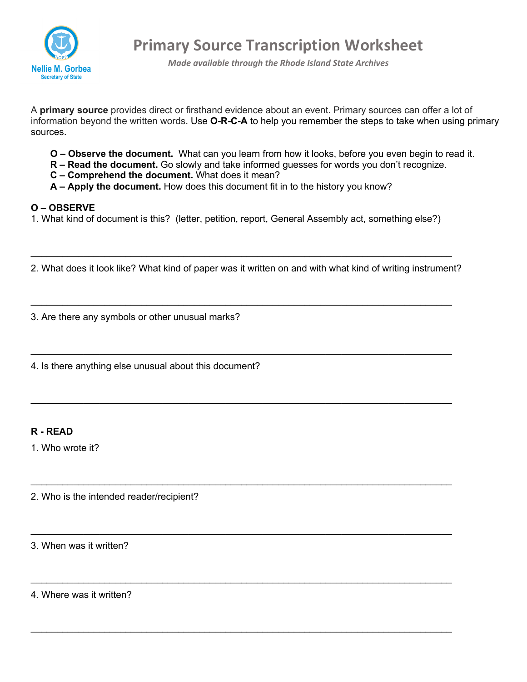

**Primary Source Transcription Worksheet**

*Made available through the Rhode Island State Archives*

A **primary source** provides direct or firsthand evidence about an event. Primary sources can offer a lot of information beyond the written words. Use **O-R-C-A** to help you remember the steps to take when using primary sources.

- **O – Observe the document.** What can you learn from how it looks, before you even begin to read it.
- **R – Read the document.** Go slowly and take informed guesses for words you don't recognize.
- **C – Comprehend the document.** What does it mean?
- **A – Apply the document.** How does this document fit in to the history you know?

## **O – OBSERVE**

1. What kind of document is this? (letter, petition, report, General Assembly act, something else?)

2. What does it look like? What kind of paper was it written on and with what kind of writing instrument?

 $\_$ 

 $\_$ 

 $\_$  , and the set of the set of the set of the set of the set of the set of the set of the set of the set of the set of the set of the set of the set of the set of the set of the set of the set of the set of the set of th

 $\_$ 

 $\_$ 

 $\_$ 

 $\_$ 

3. Are there any symbols or other unusual marks?

4. Is there anything else unusual about this document?

## **R - READ**

1. Who wrote it?

2. Who is the intended reader/recipient?

3. When was it written?

4. Where was it written?